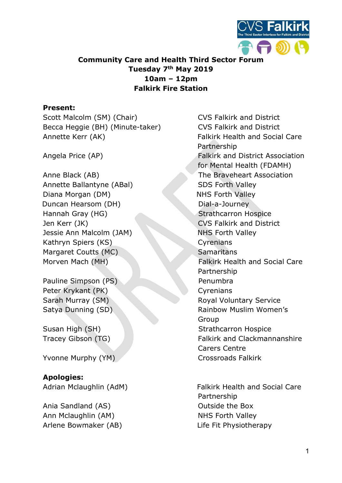

# Community Care and Health Third Sector Forum Tuesday 7<sup>th</sup> May 2019 10am – 12pm Falkirk Fire Station

## Present:

Scott Malcolm (SM) (Chair) CVS Falkirk and District Becca Heggie (BH) (Minute-taker) CVS Falkirk and District Annette Kerr (AK) The Social Care Falkirk Health and Social Care

Annette Ballantyne (ABal) SDS Forth Valley Diana Morgan (DM) NHS Forth Valley Duncan Hearsom (DH) Dial-a-Journey Hannah Gray (HG) Strathcarron Hospice Jen Kerr (JK) CVS Falkirk and District Jessie Ann Malcolm (JAM) NHS Forth Valley Kathryn Spiers (KS) Cyrenians Margaret Coutts (MC) Samaritans

Pauline Simpson (PS) Penumbra Peter Krykant (PK) Cyrenians

Yvonne Murphy (YM) Crossroads Falkirk

# Apologies:

Ania Sandland (AS) Contract Contract Contract Contract Contract Contract Contract Contract Contract Contract Contract Contract Contract Contract Contract Contract Contract Contract Contract Contract Contract Contract Contr Ann Mclaughlin (AM) NHS Forth Valley Arlene Bowmaker (AB) Life Fit Physiotherapy

Partnership Angela Price (AP) **Falkirk and District Association** for Mental Health (FDAMH) Anne Black (AB) The Braveheart Association Morven Mach (MH) Falkirk Health and Social Care Partnership Sarah Murray (SM) Royal Voluntary Service Satya Dunning (SD) Rainbow Muslim Women's Group Susan High (SH) Strathcarron Hospice Tracey Gibson (TG) Tracey Gibson (TG) Falkirk and Clackmannanshire Carers Centre

Adrian Mclaughlin (AdM) Falkirk Health and Social Care Partnership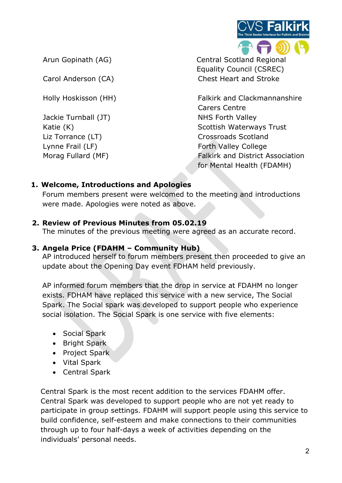

Jackie Turnball (JT) NHS Forth Valley

Arun Gopinath (AG) Central Scotland Regional Equality Council (CSREC) Carol Anderson (CA) Chest Heart and Stroke

Holly Hoskisson (HH) Falkirk and Clackmannanshire Carers Centre Katie (K) **Scottish Waterways Trust** Scottish Waterways Trust Liz Torrance (LT) Crossroads Scotland Lynne Frail (LF) **Example 2** Forth Valley College Morag Fullard (MF) The Contract Contract Association Falkirk and District Association for Mental Health (FDAMH)

# 1. Welcome, Introductions and Apologies

Forum members present were welcomed to the meeting and introductions were made. Apologies were noted as above.

## 2. Review of Previous Minutes from 05.02.19

The minutes of the previous meeting were agreed as an accurate record.

# 3. Angela Price (FDAHM – Community Hub)

AP introduced herself to forum members present then proceeded to give an update about the Opening Day event FDHAM held previously.

AP informed forum members that the drop in service at FDAHM no longer exists. FDHAM have replaced this service with a new service, The Social Spark. The Social spark was developed to support people who experience social isolation. The Social Spark is one service with five elements:

- Social Spark
- Bright Spark
- Project Spark
- Vital Spark
- Central Spark

Central Spark is the most recent addition to the services FDAHM offer. Central Spark was developed to support people who are not yet ready to participate in group settings. FDAHM will support people using this service to build confidence, self-esteem and make connections to their communities through up to four half-days a week of activities depending on the individuals' personal needs.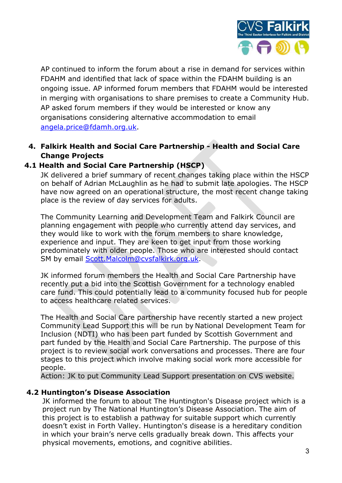

AP continued to inform the forum about a rise in demand for services within FDAHM and identified that lack of space within the FDAHM building is an ongoing issue. AP informed forum members that FDAHM would be interested in merging with organisations to share premises to create a Community Hub. AP asked forum members if they would be interested or know any organisations considering alternative accommodation to email angela.price@fdamh.org.uk.

# 4. Falkirk Health and Social Care Partnership - Health and Social Care Change Projects

# 4.1 Health and Social Care Partnership (HSCP)

JK delivered a brief summary of recent changes taking place within the HSCP on behalf of Adrian McLaughlin as he had to submit late apologies. The HSCP have now agreed on an operational structure, the most recent change taking place is the review of day services for adults.

The Community Learning and Development Team and Falkirk Council are planning engagement with people who currently attend day services, and they would like to work with the forum members to share knowledge, experience and input. They are keen to get input from those working predominately with older people. Those who are interested should contact SM by email Scott.Malcolm@cvsfalkirk.org.uk.

JK informed forum members the Health and Social Care Partnership have recently put a bid into the Scottish Government for a technology enabled care fund. This could potentially lead to a community focused hub for people to access healthcare related services.

The Health and Social Care partnership have recently started a new project Community Lead Support this will be run by National Development Team for Inclusion (NDTI) who has been part funded by Scottish Government and part funded by the Health and Social Care Partnership. The purpose of this project is to review social work conversations and processes. There are four stages to this project which involve making social work more accessible for people.

Action: JK to put Community Lead Support presentation on CVS website.

#### 4.2 Huntington's Disease Association

JK informed the forum to about The Huntington's Disease project which is a project run by The National Huntington's Disease Association. The aim of this project is to establish a pathway for suitable support which currently doesn't exist in Forth Valley. Huntington's disease is a hereditary condition in which your brain's nerve cells gradually break down. This affects your physical movements, emotions, and cognitive abilities.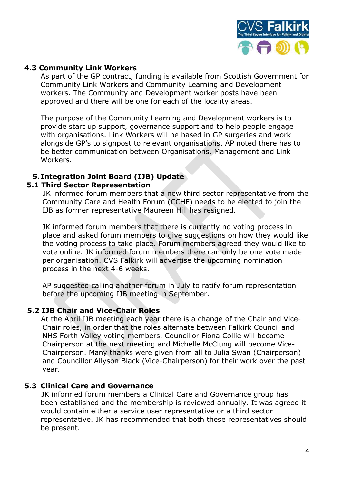

## 4.3 Community Link Workers

As part of the GP contract, funding is available from Scottish Government for Community Link Workers and Community Learning and Development workers. The Community and Development worker posts have been approved and there will be one for each of the locality areas.

The purpose of the Community Learning and Development workers is to provide start up support, governance support and to help people engage with organisations. Link Workers will be based in GP surgeries and work alongside GP's to signpost to relevant organisations. AP noted there has to be better communication between Organisations, Management and Link Workers.

# 5.Integration Joint Board (IJB) Update

#### 5.1 Third Sector Representation

 JK informed forum members that a new third sector representative from the Community Care and Health Forum (CCHF) needs to be elected to join the IJB as former representative Maureen Hill has resigned.

JK informed forum members that there is currently no voting process in place and asked forum members to give suggestions on how they would like the voting process to take place. Forum members agreed they would like to vote online. JK informed forum members there can only be one vote made per organisation. CVS Falkirk will advertise the upcoming nomination process in the next 4-6 weeks.

AP suggested calling another forum in July to ratify forum representation before the upcoming IJB meeting in September.

#### 5.2 IJB Chair and Vice-Chair Roles

 At the April IJB meeting each year there is a change of the Chair and Vice-Chair roles, in order that the roles alternate between Falkirk Council and NHS Forth Valley voting members. Councillor Fiona Collie will become Chairperson at the next meeting and Michelle McClung will become Vice-Chairperson. Many thanks were given from all to Julia Swan (Chairperson) and Councillor Allyson Black (Vice-Chairperson) for their work over the past year.

#### 5.3 Clinical Care and Governance

JK informed forum members a Clinical Care and Governance group has been established and the membership is reviewed annually. It was agreed it would contain either a service user representative or a third sector representative. JK has recommended that both these representatives should be present.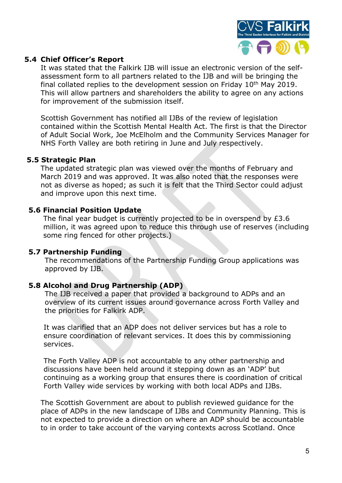

# 5.4 Chief Officer's Report

It was stated that the Falkirk IJB will issue an electronic version of the selfassessment form to all partners related to the IJB and will be bringing the final collated replies to the development session on Friday  $10<sup>th</sup>$  May 2019. This will allow partners and shareholders the ability to agree on any actions for improvement of the submission itself.

Scottish Government has notified all IJBs of the review of legislation contained within the Scottish Mental Health Act. The first is that the Director of Adult Social Work, Joe McElholm and the Community Services Manager for NHS Forth Valley are both retiring in June and July respectively.

## 5.5 Strategic Plan

 The updated strategic plan was viewed over the months of February and March 2019 and was approved. It was also noted that the responses were not as diverse as hoped; as such it is felt that the Third Sector could adjust and improve upon this next time.

## 5.6 Financial Position Update

The final year budget is currently projected to be in overspend by £3.6 million, it was agreed upon to reduce this through use of reserves (including some ring fenced for other projects.)

#### 5.7 Partnership Funding

The recommendations of the Partnership Funding Group applications was approved by IJB.

#### 5.8 Alcohol and Drug Partnership (ADP)

The IJB received a paper that provided a background to ADPs and an overview of its current issues around governance across Forth Valley and the priorities for Falkirk ADP.

It was clarified that an ADP does not deliver services but has a role to ensure coordination of relevant services. It does this by commissioning services.

The Forth Valley ADP is not accountable to any other partnership and discussions have been held around it stepping down as an 'ADP' but continuing as a working group that ensures there is coordination of critical Forth Valley wide services by working with both local ADPs and IJBs.

The Scottish Government are about to publish reviewed guidance for the place of ADPs in the new landscape of IJBs and Community Planning. This is not expected to provide a direction on where an ADP should be accountable to in order to take account of the varying contexts across Scotland. Once